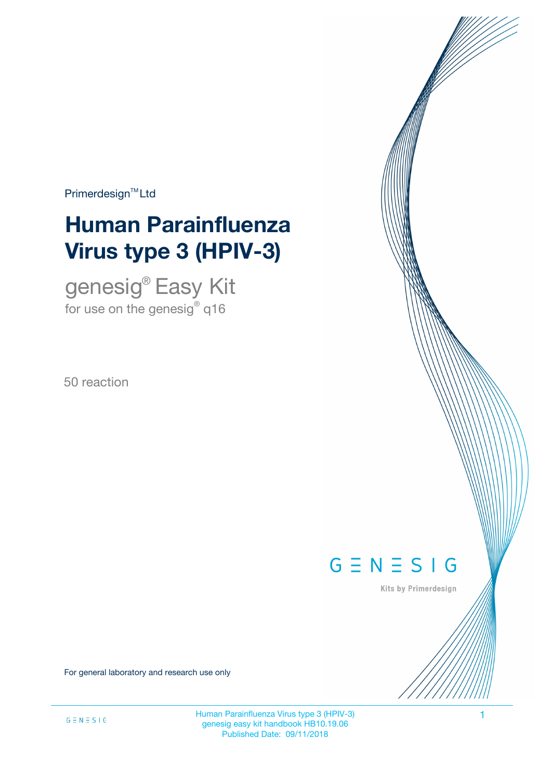Primerdesign<sup>™</sup>Ltd

# **Human Parainfluenza Virus type 3 (HPIV-3)**

genesig® Easy Kit for use on the genesig $^\circ$  q16

50 reaction



Kits by Primerdesign

For general laboratory and research use only

Human Parainfluenza Virus type 3 (HPIV-3) 1 genesig easy kit handbook HB10.19.06 Published Date: 09/11/2018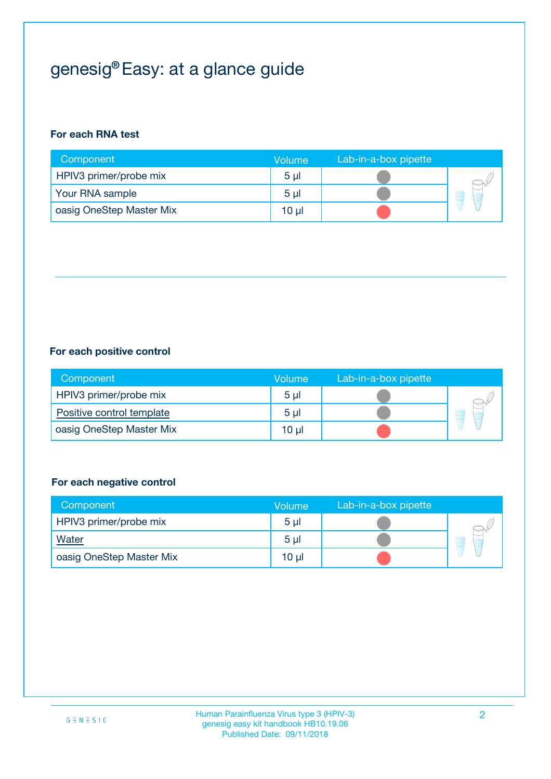## genesig® Easy: at a glance guide

#### **For each RNA test**

| Component                | <b>Volume</b>  | Lab-in-a-box pipette |  |
|--------------------------|----------------|----------------------|--|
| HPIV3 primer/probe mix   | 5 <sub>µ</sub> |                      |  |
| Your RNA sample          | 5 <sub>µ</sub> |                      |  |
| oasig OneStep Master Mix | 10 µl          |                      |  |

#### **For each positive control**

| Component                 | Volume         | Lab-in-a-box pipette |  |
|---------------------------|----------------|----------------------|--|
| HPIV3 primer/probe mix    | 5 <sub>µ</sub> |                      |  |
| Positive control template | 5 <sub>µ</sub> |                      |  |
| oasig OneStep Master Mix  | 10 µl          |                      |  |

#### **For each negative control**

| Component                | <b>Volume</b>   | Lab-in-a-box pipette |   |
|--------------------------|-----------------|----------------------|---|
| HPIV3 primer/probe mix   | 5 <sub>µ</sub>  |                      |   |
| Water                    | 5 <sub>µ</sub>  |                      | - |
| oasig OneStep Master Mix | 10 <sub>µ</sub> |                      |   |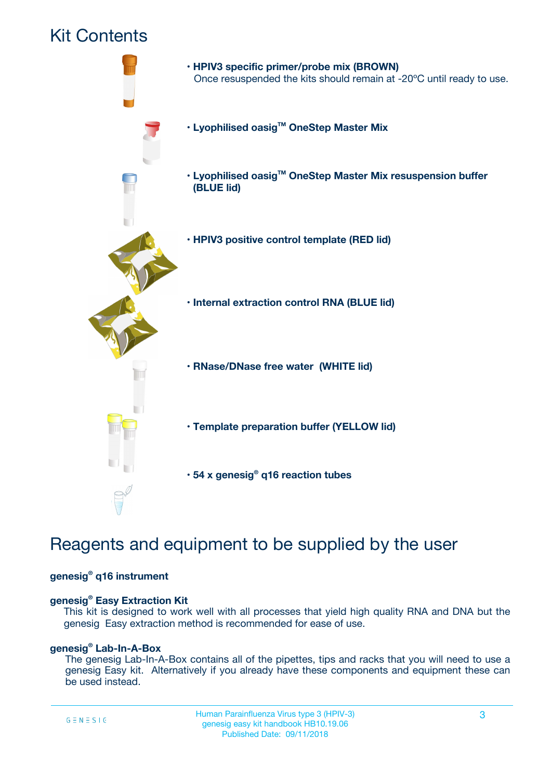### Kit Contents



## Reagents and equipment to be supplied by the user

#### **genesig® q16 instrument**

#### **genesig® Easy Extraction Kit**

This kit is designed to work well with all processes that yield high quality RNA and DNA but the genesig Easy extraction method is recommended for ease of use.

#### **genesig® Lab-In-A-Box**

The genesig Lab-In-A-Box contains all of the pipettes, tips and racks that you will need to use a genesig Easy kit. Alternatively if you already have these components and equipment these can be used instead.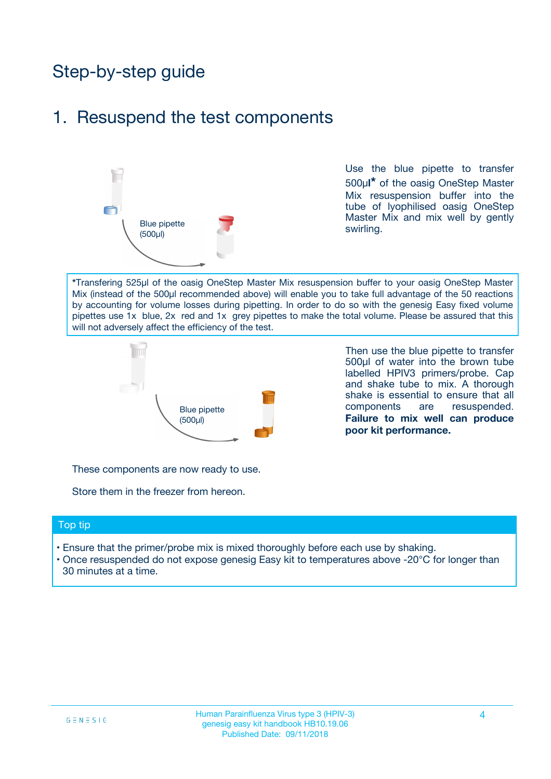## Step-by-step guide

### 1. Resuspend the test components



Use the blue pipette to transfer 500µ**l\*** of the oasig OneStep Master Mix resuspension buffer into the tube of lyophilised oasig OneStep Master Mix and mix well by gently swirling.

**\***Transfering 525µl of the oasig OneStep Master Mix resuspension buffer to your oasig OneStep Master Mix (instead of the 500µl recommended above) will enable you to take full advantage of the 50 reactions by accounting for volume losses during pipetting. In order to do so with the genesig Easy fixed volume pipettes use 1x blue, 2x red and 1x grey pipettes to make the total volume. Please be assured that this will not adversely affect the efficiency of the test.



Then use the blue pipette to transfer 500µl of water into the brown tube labelled HPIV3 primers/probe. Cap and shake tube to mix. A thorough shake is essential to ensure that all components are resuspended. **Failure to mix well can produce poor kit performance.**

These components are now ready to use.

Store them in the freezer from hereon.

#### Top tip

- Ensure that the primer/probe mix is mixed thoroughly before each use by shaking.
- Once resuspended do not expose genesig Easy kit to temperatures above -20°C for longer than 30 minutes at a time.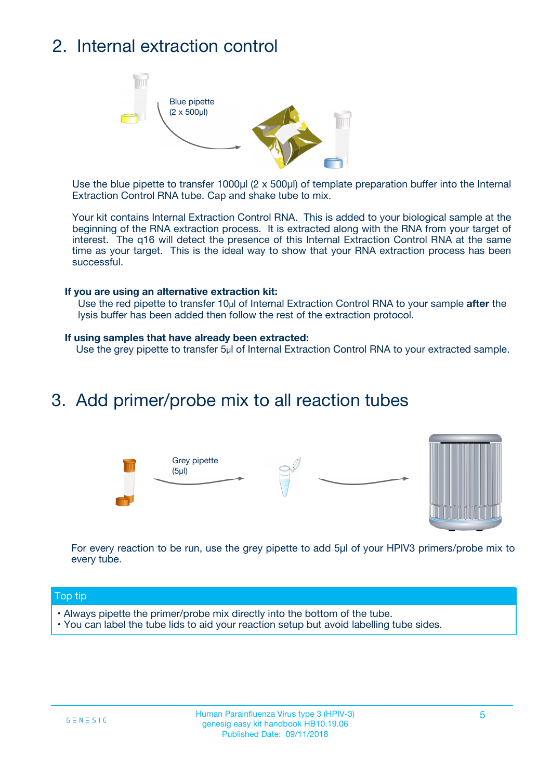## 2. Internal extraction control



Use the blue pipette to transfer 1000µl (2 x 500µl) of template preparation buffer into the Internal Extraction Control RNA tube. Cap and shake tube to mix.

Your kit contains Internal Extraction Control RNA. This is added to your biological sample at the beginning of the RNA extraction process. It is extracted along with the RNA from your target of interest. The q16 will detect the presence of this Internal Extraction Control RNA at the same time as your target. This is the ideal way to show that your RNA extraction process has been successful.

#### **If you are using an alternative extraction kit:**

Use the red pipette to transfer 10µl of Internal Extraction Control RNA to your sample **after** the lysis buffer has been added then follow the rest of the extraction protocol.

#### **If using samples that have already been extracted:**

Use the grey pipette to transfer 5µl of Internal Extraction Control RNA to your extracted sample.

### 3. Add primer/probe mix to all reaction tubes





For every reaction to be run, use the grey pipette to add 5µl of your HPIV3 primers/probe mix to every tube.

#### Top tip

- Always pipette the primer/probe mix directly into the bottom of the tube.
- You can label the tube lids to aid your reaction setup but avoid labelling tube sides.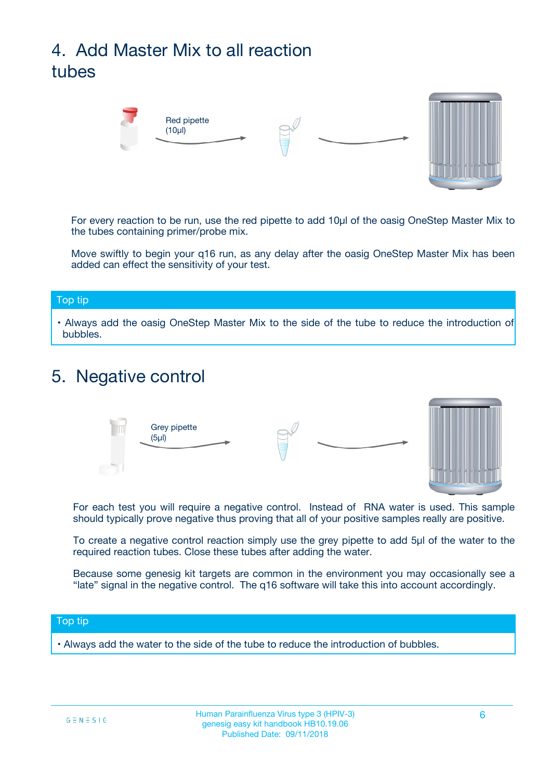## 4. Add Master Mix to all reaction tubes



For every reaction to be run, use the red pipette to add 10µl of the oasig OneStep Master Mix to the tubes containing primer/probe mix.

Move swiftly to begin your q16 run, as any delay after the oasig OneStep Master Mix has been added can effect the sensitivity of your test.

#### Top tip

**•** Always add the oasig OneStep Master Mix to the side of the tube to reduce the introduction of bubbles.

### 5. Negative control



For each test you will require a negative control. Instead of RNA water is used. This sample should typically prove negative thus proving that all of your positive samples really are positive.

To create a negative control reaction simply use the grey pipette to add 5µl of the water to the required reaction tubes. Close these tubes after adding the water.

Because some genesig kit targets are common in the environment you may occasionally see a "late" signal in the negative control. The q16 software will take this into account accordingly.

#### Top tip

**•** Always add the water to the side of the tube to reduce the introduction of bubbles.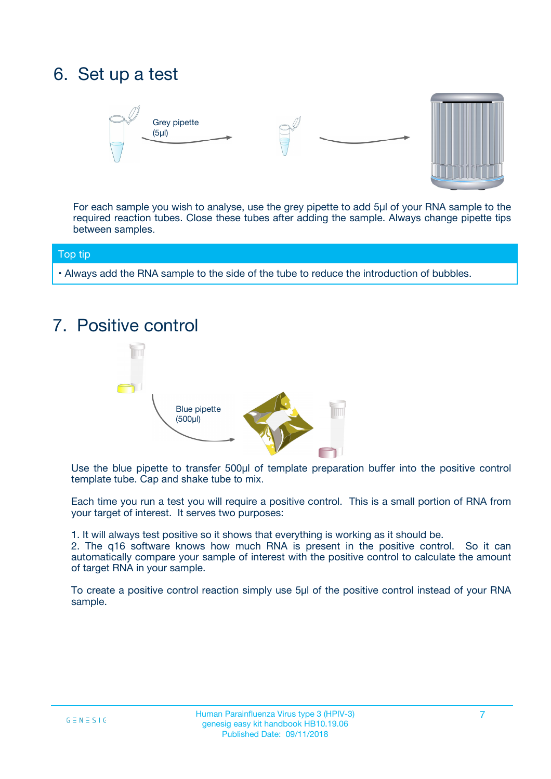## 6. Set up a test





For each sample you wish to analyse, use the grey pipette to add 5µl of your RNA sample to the required reaction tubes. Close these tubes after adding the sample. Always change pipette tips between samples.

#### Top tip

**•** Always add the RNA sample to the side of the tube to reduce the introduction of bubbles.

## 7. Positive control



Use the blue pipette to transfer 500µl of template preparation buffer into the positive control template tube. Cap and shake tube to mix.

Each time you run a test you will require a positive control. This is a small portion of RNA from your target of interest. It serves two purposes:

1. It will always test positive so it shows that everything is working as it should be.

2. The q16 software knows how much RNA is present in the positive control. So it can automatically compare your sample of interest with the positive control to calculate the amount of target RNA in your sample.

To create a positive control reaction simply use 5µl of the positive control instead of your RNA sample.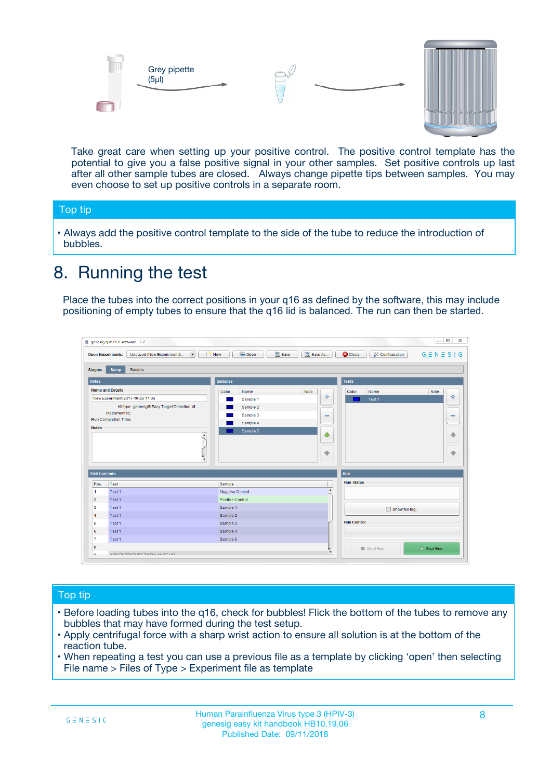



Take great care when setting up your positive control. The positive control template has the potential to give you a false positive signal in your other samples. Set positive controls up last after all other sample tubes are closed. Always change pipette tips between samples. You may even choose to set up positive controls in a separate room.

#### Top tip

**•** Always add the positive control template to the side of the tube to reduce the introduction of bubbles.

## 8. Running the test

Place the tubes into the correct positions in your q16 as defined by the software, this may include positioning of empty tubes to ensure that the q16 lid is balanced. The run can then be started.

|                                   | Unsaved (New Experiment 2<br>$\overline{\phantom{a}}$<br><b>Open Experiments:</b> | <b>E</b> Open<br>Save<br><b>New</b> | Save As          | <b>C</b> Close<br>& Configuration | $G \equiv N \equiv S \mid G$ |
|-----------------------------------|-----------------------------------------------------------------------------------|-------------------------------------|------------------|-----------------------------------|------------------------------|
| <b>Stages:</b>                    | Setup<br><b>Results</b>                                                           |                                     |                  |                                   |                              |
| <b>Notes</b>                      |                                                                                   | <b>Samples</b>                      |                  | <b>Tests</b>                      |                              |
|                                   | <b>Name and Details</b>                                                           | Color<br>Name                       | Note             | Color<br>Name                     | Note                         |
|                                   | New Experiment 2017-10-26 11:06                                                   | Sample 1                            | 4                | Test 1                            | 4                            |
|                                   | Kit type: genesig® Easy Target Detection kit                                      | Sample 2                            |                  |                                   |                              |
|                                   | Instrument Id.:                                                                   | Sample 3                            | $\equiv$         |                                   | $\equiv$                     |
|                                   | Run Completion Time:                                                              | Sample 4                            |                  |                                   |                              |
| <b>Notes</b>                      | $\blacktriangle$                                                                  | Sample 5                            | ♦                |                                   | 傦                            |
|                                   |                                                                                   |                                     |                  |                                   |                              |
|                                   | $\overline{\mathbf{v}}$                                                           |                                     | ÷                |                                   | ⊕                            |
|                                   | <b>Well Contents</b>                                                              |                                     |                  | Run                               |                              |
|                                   | Test                                                                              | Sample                              |                  | <b>Run Status</b>                 |                              |
|                                   |                                                                                   | Negative Control                    | $\blacktriangle$ |                                   |                              |
|                                   | Test 1                                                                            |                                     |                  |                                   |                              |
|                                   | Test 1                                                                            | Positive Control                    |                  |                                   |                              |
| Pos.<br>-1<br>$\overline{2}$<br>3 | Test 1                                                                            | Sample 1                            |                  |                                   |                              |
| $\overline{4}$                    | Test 1                                                                            | Sample 2                            |                  | Show full log                     |                              |
| 5                                 | Test 1                                                                            | Sample 3                            |                  | <b>Run Control</b>                |                              |
| 6                                 | Test 1                                                                            | Sample 4                            |                  |                                   |                              |
| $\overline{7}$                    | Test 1                                                                            | Sample 5                            |                  |                                   |                              |

#### Top tip

- Before loading tubes into the q16, check for bubbles! Flick the bottom of the tubes to remove any bubbles that may have formed during the test setup.
- Apply centrifugal force with a sharp wrist action to ensure all solution is at the bottom of the reaction tube.
- When repeating a test you can use a previous file as a template by clicking 'open' then selecting File name > Files of Type > Experiment file as template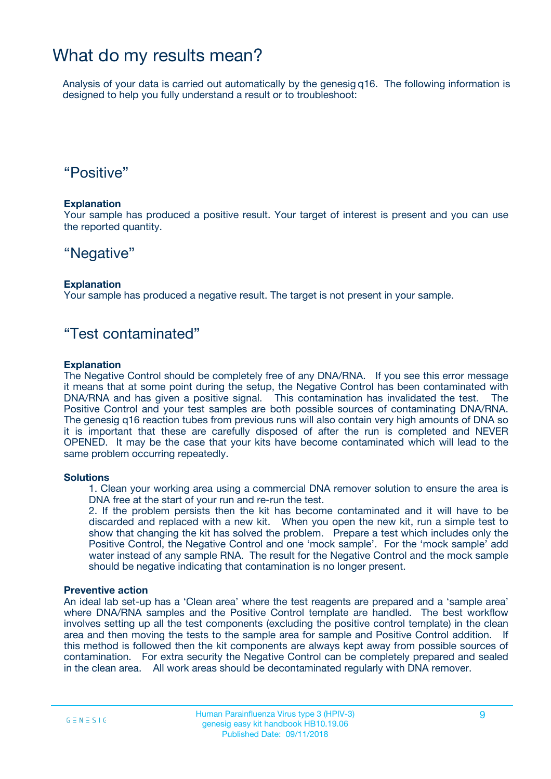### What do my results mean?

Analysis of your data is carried out automatically by the genesig q16. The following information is designed to help you fully understand a result or to troubleshoot:

### "Positive"

#### **Explanation**

Your sample has produced a positive result. Your target of interest is present and you can use the reported quantity.

### "Negative"

#### **Explanation**

Your sample has produced a negative result. The target is not present in your sample.

### "Test contaminated"

#### **Explanation**

The Negative Control should be completely free of any DNA/RNA. If you see this error message it means that at some point during the setup, the Negative Control has been contaminated with DNA/RNA and has given a positive signal. This contamination has invalidated the test. The Positive Control and your test samples are both possible sources of contaminating DNA/RNA. The genesig q16 reaction tubes from previous runs will also contain very high amounts of DNA so it is important that these are carefully disposed of after the run is completed and NEVER OPENED. It may be the case that your kits have become contaminated which will lead to the same problem occurring repeatedly.

#### **Solutions**

1. Clean your working area using a commercial DNA remover solution to ensure the area is DNA free at the start of your run and re-run the test.

2. If the problem persists then the kit has become contaminated and it will have to be discarded and replaced with a new kit. When you open the new kit, run a simple test to show that changing the kit has solved the problem. Prepare a test which includes only the Positive Control, the Negative Control and one 'mock sample'. For the 'mock sample' add water instead of any sample RNA. The result for the Negative Control and the mock sample should be negative indicating that contamination is no longer present.

#### **Preventive action**

An ideal lab set-up has a 'Clean area' where the test reagents are prepared and a 'sample area' where DNA/RNA samples and the Positive Control template are handled. The best workflow involves setting up all the test components (excluding the positive control template) in the clean area and then moving the tests to the sample area for sample and Positive Control addition. If this method is followed then the kit components are always kept away from possible sources of contamination. For extra security the Negative Control can be completely prepared and sealed in the clean area. All work areas should be decontaminated regularly with DNA remover.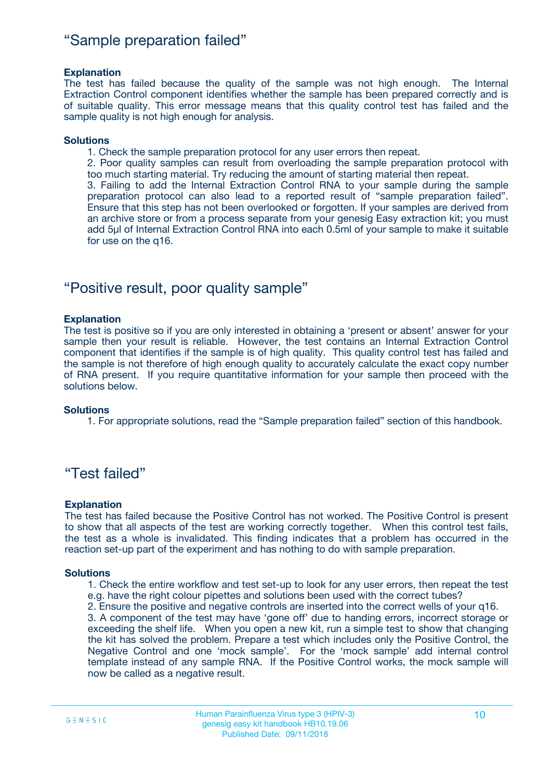### "Sample preparation failed"

#### **Explanation**

The test has failed because the quality of the sample was not high enough. The Internal Extraction Control component identifies whether the sample has been prepared correctly and is of suitable quality. This error message means that this quality control test has failed and the sample quality is not high enough for analysis.

#### **Solutions**

1. Check the sample preparation protocol for any user errors then repeat.

2. Poor quality samples can result from overloading the sample preparation protocol with too much starting material. Try reducing the amount of starting material then repeat.

3. Failing to add the Internal Extraction Control RNA to your sample during the sample preparation protocol can also lead to a reported result of "sample preparation failed". Ensure that this step has not been overlooked or forgotten. If your samples are derived from an archive store or from a process separate from your genesig Easy extraction kit; you must add 5µl of Internal Extraction Control RNA into each 0.5ml of your sample to make it suitable for use on the q16.

### "Positive result, poor quality sample"

#### **Explanation**

The test is positive so if you are only interested in obtaining a 'present or absent' answer for your sample then your result is reliable. However, the test contains an Internal Extraction Control component that identifies if the sample is of high quality. This quality control test has failed and the sample is not therefore of high enough quality to accurately calculate the exact copy number of RNA present. If you require quantitative information for your sample then proceed with the solutions below.

#### **Solutions**

1. For appropriate solutions, read the "Sample preparation failed" section of this handbook.

### "Test failed"

#### **Explanation**

The test has failed because the Positive Control has not worked. The Positive Control is present to show that all aspects of the test are working correctly together. When this control test fails, the test as a whole is invalidated. This finding indicates that a problem has occurred in the reaction set-up part of the experiment and has nothing to do with sample preparation.

#### **Solutions**

1. Check the entire workflow and test set-up to look for any user errors, then repeat the test e.g. have the right colour pipettes and solutions been used with the correct tubes?

2. Ensure the positive and negative controls are inserted into the correct wells of your q16.

3. A component of the test may have 'gone off' due to handing errors, incorrect storage or exceeding the shelf life. When you open a new kit, run a simple test to show that changing the kit has solved the problem. Prepare a test which includes only the Positive Control, the Negative Control and one 'mock sample'. For the 'mock sample' add internal control template instead of any sample RNA. If the Positive Control works, the mock sample will now be called as a negative result.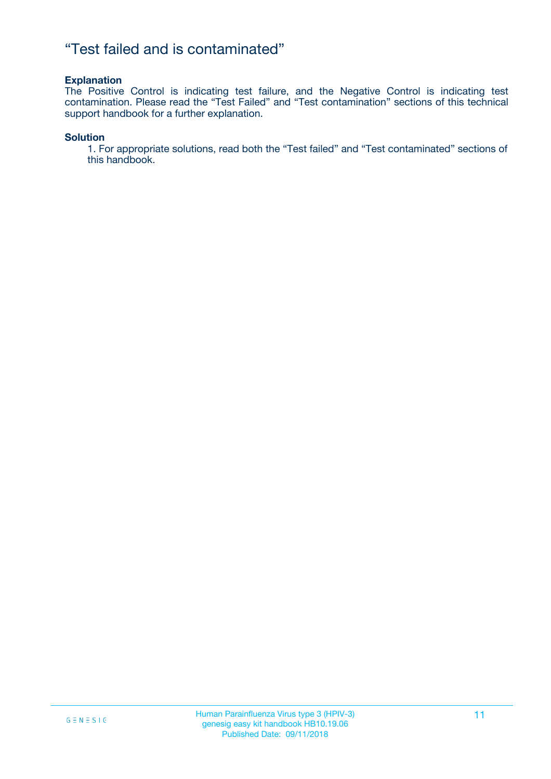### "Test failed and is contaminated"

#### **Explanation**

The Positive Control is indicating test failure, and the Negative Control is indicating test contamination. Please read the "Test Failed" and "Test contamination" sections of this technical support handbook for a further explanation.

#### **Solution**

1. For appropriate solutions, read both the "Test failed" and "Test contaminated" sections of this handbook.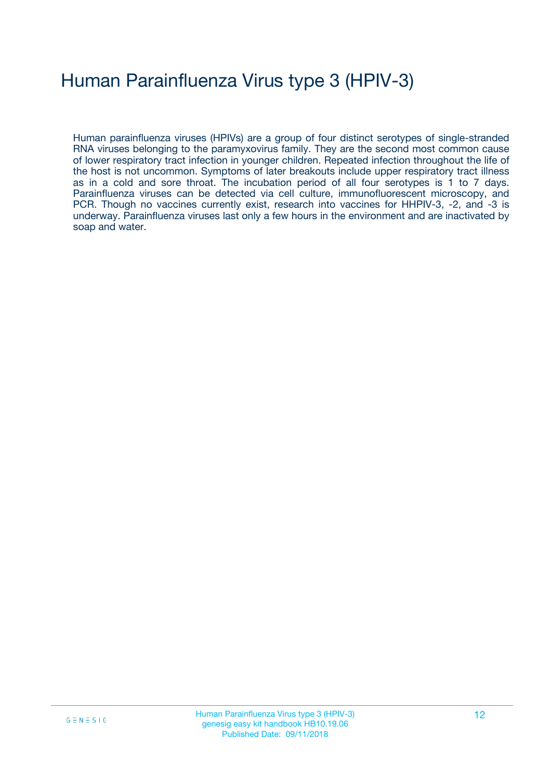## Human Parainfluenza Virus type 3 (HPIV-3)

Human parainfluenza viruses (HPIVs) are a group of four distinct serotypes of single-stranded RNA viruses belonging to the paramyxovirus family. They are the second most common cause of lower respiratory tract infection in younger children. Repeated infection throughout the life of the host is not uncommon. Symptoms of later breakouts include upper respiratory tract illness as in a cold and sore throat. The incubation period of all four serotypes is 1 to 7 days. Parainfluenza viruses can be detected via cell culture, immunofluorescent microscopy, and PCR. Though no vaccines currently exist, research into vaccines for HHPIV-3, -2, and -3 is underway. Parainfluenza viruses last only a few hours in the environment and are inactivated by soap and water.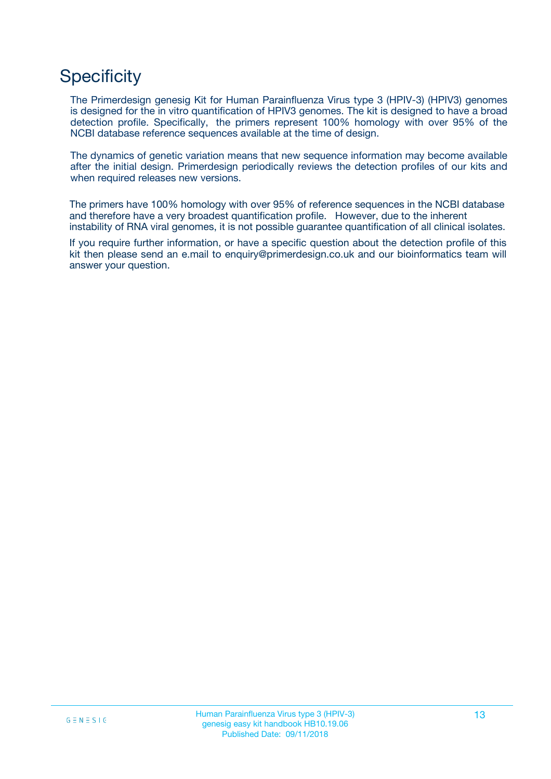## **Specificity**

The Primerdesign genesig Kit for Human Parainfluenza Virus type 3 (HPIV-3) (HPIV3) genomes is designed for the in vitro quantification of HPIV3 genomes. The kit is designed to have a broad detection profile. Specifically, the primers represent 100% homology with over 95% of the NCBI database reference sequences available at the time of design.

The dynamics of genetic variation means that new sequence information may become available after the initial design. Primerdesign periodically reviews the detection profiles of our kits and when required releases new versions.

The primers have 100% homology with over 95% of reference sequences in the NCBI database and therefore have a very broadest quantification profile. However, due to the inherent instability of RNA viral genomes, it is not possible guarantee quantification of all clinical isolates.

If you require further information, or have a specific question about the detection profile of this kit then please send an e.mail to enquiry@primerdesign.co.uk and our bioinformatics team will answer your question.